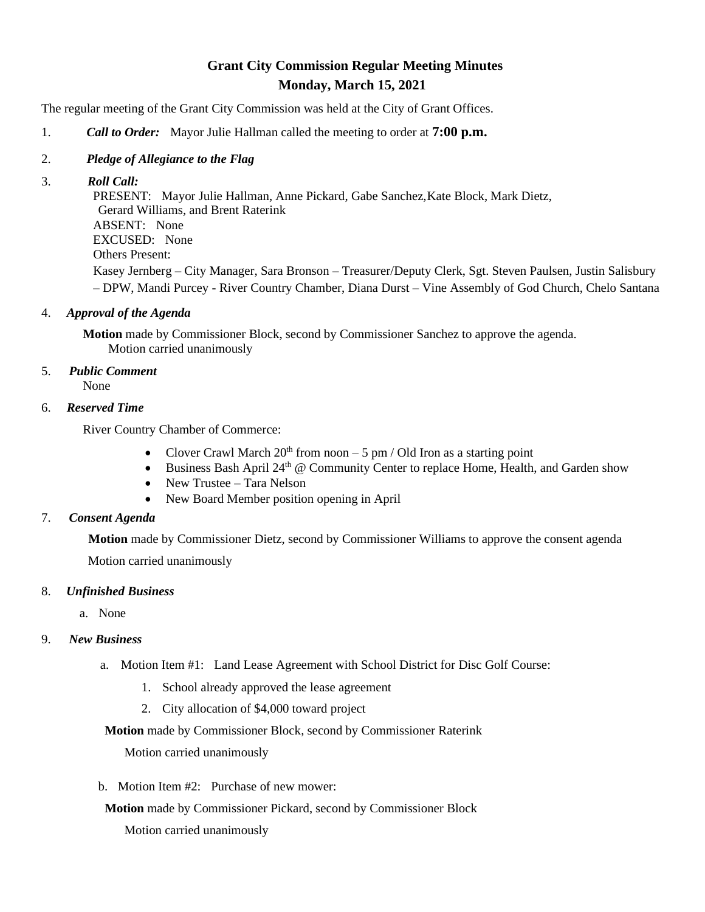# **Grant City Commission Regular Meeting Minutes Monday, March 15, 2021**

The regular meeting of the Grant City Commission was held at the City of Grant Offices.

- 1. *Call to Order:* Mayor Julie Hallman called the meeting to order at **7:00 p.m.**
- 2. *Pledge of Allegiance to the Flag*
- 3. *Roll Call:*

 PRESENT: Mayor Julie Hallman, Anne Pickard, Gabe Sanchez,Kate Block, Mark Dietz, Gerard Williams, and Brent Raterink ABSENT: None EXCUSED: None Others Present: Kasey Jernberg – City Manager, Sara Bronson – Treasurer/Deputy Clerk, Sgt. Steven Paulsen, Justin Salisbury – DPW, Mandi Purcey - River Country Chamber, Diana Durst – Vine Assembly of God Church, Chelo Santana

4. *Approval of the Agenda*

**Motion** made by Commissioner Block, second by Commissioner Sanchez to approve the agenda. Motion carried unanimously

5. *Public Comment*

None

6. *Reserved Time*

River Country Chamber of Commerce:

- Clover Crawl March  $20<sup>th</sup>$  from noon  $-5$  pm / Old Iron as a starting point
- Business Bash April 24<sup>th</sup> @ Community Center to replace Home, Health, and Garden show
- New Trustee Tara Nelson
- New Board Member position opening in April
- 7. *Consent Agenda*

**Motion** made by Commissioner Dietz, second by Commissioner Williams to approve the consent agenda Motion carried unanimously

### 8. *Unfinished Business*

a. None

### 9. *New Business*

- a. Motion Item #1: Land Lease Agreement with School District for Disc Golf Course:
	- 1. School already approved the lease agreement
	- 2. City allocation of \$4,000 toward project

### **Motion** made by Commissioner Block, second by Commissioner Raterink

Motion carried unanimously

b. Motion Item #2: Purchase of new mower:

**Motion** made by Commissioner Pickard, second by Commissioner Block

Motion carried unanimously